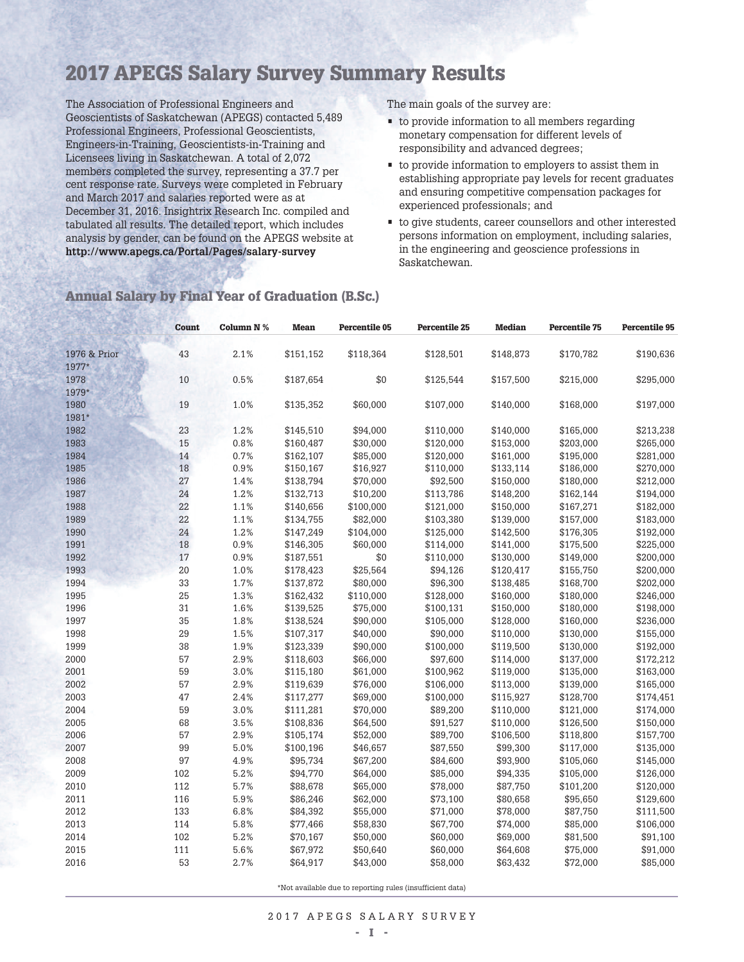# **2017 APEGS Salary Survey Summary Results**

The Association of Professional Engineers and Geoscientists of Saskatchewan (APEGS) contacted 5,489 Professional Engineers, Professional Geoscientists, Engineers-in-Training, Geoscientists-in-Training and Licensees living in Saskatchewan. A total of 2,072 members completed the survey, representing a 37.7 per cent response rate. Surveys were completed in February and March 2017 and salaries reported were as at December 31, 2016. Insightrix Research Inc. compiled and tabulated all results. The detailed report, which includes analysis by gender, can be found on the APEGS website at **http://www.apegs.ca/Portal/Pages/salary-survey**

The main goals of the survey are:

- to provide information to all members regarding monetary compensation for different levels of responsibility and advanced degrees;
- to provide information to employers to assist them in establishing appropriate pay levels for recent graduates and ensuring competitive compensation packages for experienced professionals; and
- to give students, career counsellors and other interested persons information on employment, including salaries, in the engineering and geoscience professions in Saskatchewan.

|              | <b>Count</b> | Column N % | <b>Mean</b> | <b>Percentile 05</b> | <b>Percentile 25</b> | <b>Median</b> | <b>Percentile 75</b> | <b>Percentile 95</b> |
|--------------|--------------|------------|-------------|----------------------|----------------------|---------------|----------------------|----------------------|
|              |              |            |             |                      |                      |               |                      |                      |
| 1976 & Prior | 43           | 2.1%       | \$151,152   | \$118,364            | \$128,501            | \$148,873     | \$170,782            | \$190,636            |
| 1977*        |              |            |             |                      |                      |               |                      |                      |
| 1978         | 10           | 0.5%       | \$187,654   | \$0                  | \$125,544            | \$157,500     | \$215,000            | \$295,000            |
| 1979*        |              |            |             |                      |                      |               |                      |                      |
| 1980         | 19           | 1.0%       | \$135,352   | \$60,000             | \$107,000            | \$140,000     | \$168,000            | \$197,000            |
| 1981*        |              |            |             |                      |                      |               |                      |                      |
| 1982         | 23           | 1.2%       | \$145,510   | \$94,000             | \$110,000            | \$140,000     | \$165,000            | \$213,238            |
| 1983         | 15           | 0.8%       | \$160,487   | \$30,000             | \$120,000            | \$153,000     | \$203,000            | \$265,000            |
| 1984         | 14           | 0.7%       | \$162,107   | \$85,000             | \$120,000            | \$161,000     | \$195,000            | \$281,000            |
| 1985         | 18           | 0.9%       | \$150,167   | \$16,927             | \$110,000            | \$133,114     | \$186,000            | \$270,000            |
| 1986         | 27           | 1.4%       | \$138,794   | \$70,000             | \$92,500             | \$150,000     | \$180,000            | \$212,000            |
| 1987         | 24           | 1.2%       | \$132,713   | \$10,200             | \$113,786            | \$148,200     | \$162,144            | \$194,000            |
| 1988         | 22           | 1.1%       | \$140,656   | \$100,000            | \$121,000            | \$150,000     | \$167,271            | \$182,000            |
| 1989         | 22           | 1.1%       | \$134,755   | \$82,000             | \$103,380            | \$139,000     | \$157,000            | \$183,000            |
| 1990         | 24           | 1.2%       | \$147,249   | \$104,000            | \$125,000            | \$142,500     | \$176,305            | \$192,000            |
| 1991         | 18           | 0.9%       | \$146,305   | \$60,000             | \$114,000            | \$141,000     | \$175,500            | \$225,000            |
| 1992         | 17           | 0.9%       | \$187,551   | \$0                  | \$110,000            | \$130,000     | \$149,000            | \$200,000            |
| 1993         | 20           | 1.0%       | \$178,423   | \$25,564             | \$94,126             | \$120,417     | \$155,750            | \$200,000            |
| 1994         | 33           | 1.7%       | \$137,872   | \$80,000             | \$96,300             | \$138,485     | \$168,700            | \$202,000            |
| 1995         | 25           | 1.3%       | \$162,432   | \$110,000            | \$128,000            | \$160,000     | \$180,000            | \$246,000            |
| 1996         | 31           | 1.6%       | \$139,525   | \$75,000             | \$100,131            | \$150,000     | \$180,000            | \$198,000            |
| 1997         | 35           | 1.8%       | \$138,524   | \$90,000             | \$105,000            | \$128,000     | \$160,000            | \$236,000            |
| 1998         | 29           | 1.5%       | \$107,317   | \$40,000             | \$90,000             | \$110,000     | \$130,000            | \$155,000            |
| 1999         | 38           | 1.9%       | \$123,339   | \$90,000             | \$100,000            | \$119,500     | \$130,000            | \$192,000            |
| 2000         | 57           | 2.9%       | \$118,603   | \$66,000             | \$97,600             | \$114,000     | \$137,000            | \$172,212            |
| 2001         | 59           | 3.0%       | \$115,180   | \$61,000             | \$100,962            | \$119,000     | \$135,000            | \$163,000            |
| 2002         | 57           | 2.9%       | \$119,639   | \$76,000             | \$106,000            | \$113,000     | \$139,000            | \$165,000            |
| 2003         | 47           | 2.4%       | \$117,277   | \$69,000             | \$100,000            | \$115,927     | \$128,700            | \$174,451            |
| 2004         | 59           | 3.0%       | \$111,281   | \$70,000             | \$89,200             | \$110,000     | \$121,000            | \$174,000            |
| 2005         | 68           | 3.5%       | \$108,836   | \$64,500             | \$91,527             | \$110,000     | \$126,500            | \$150,000            |
| 2006         | 57           | 2.9%       | \$105,174   | \$52,000             | \$89,700             | \$106,500     | \$118,800            | \$157,700            |
| 2007         | 99           | 5.0%       | \$100,196   | \$46,657             | \$87,550             | \$99,300      | \$117,000            | \$135,000            |
| 2008         | 97           | 4.9%       | \$95,734    | \$67,200             | \$84,600             | \$93,900      | \$105,060            | \$145,000            |
| 2009         | 102          | 5.2%       | \$94,770    | \$64,000             | \$85,000             | \$94,335      | \$105,000            | \$126,000            |
| 2010         | 112          | 5.7%       | \$88,678    | \$65,000             | \$78,000             | \$87,750      | \$101,200            | \$120,000            |
| 2011         | 116          | 5.9%       | \$86,246    | \$62,000             | \$73,100             | \$80,658      | \$95,650             | \$129,600            |
| 2012         | 133          | 6.8%       | \$84,392    | \$55,000             | \$71,000             | \$78,000      | \$87,750             | \$111,500            |
| 2013         | 114          | 5.8%       | \$77,466    | \$58,830             | \$67,700             | \$74,000      | \$85,000             | \$106,000            |
| 2014         | 102          | 5.2%       | \$70,167    | \$50,000             | \$60,000             | \$69,000      | \$81,500             | \$91,100             |
| 2015         | 111          | 5.6%       | \$67,972    | \$50,640             | \$60,000             | \$64,608      | \$75,000             | \$91,000             |
| 2016         | 53           | 2.7%       | \$64,917    | \$43,000             | \$58,000             | \$63,432      | \$72,000             | \$85,000             |

#### **Annual Salary by Final Year of Graduation (B.Sc.)**

\*Not available due to reporting rules (insufficient data)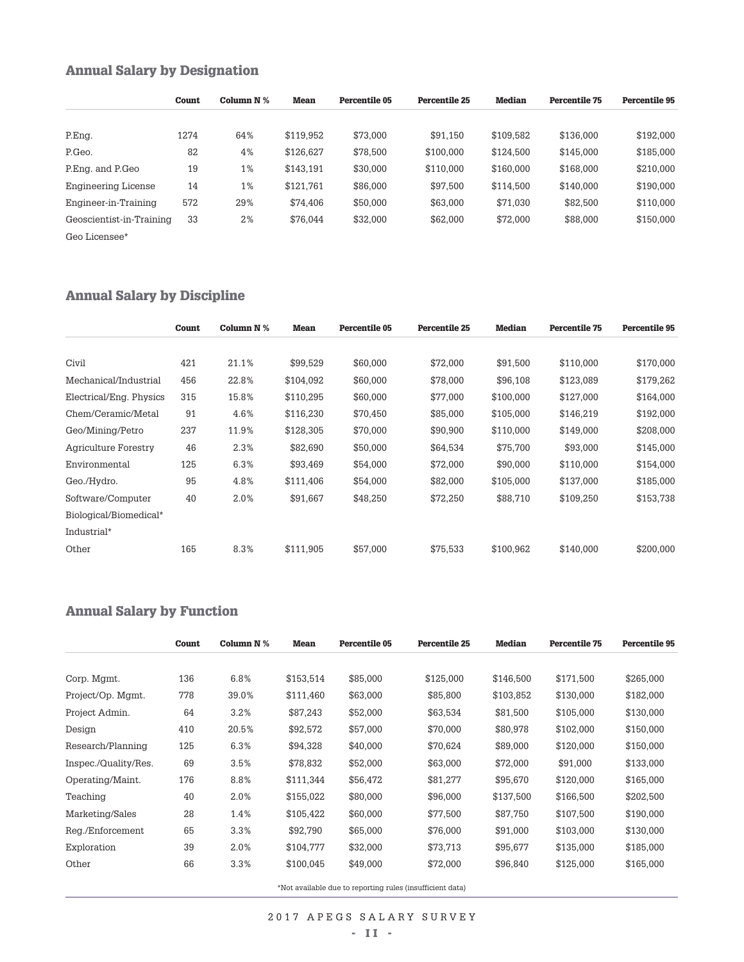## **Annual Salary by Designation**

|                          | Count | Column N % | Mean      | Percentile 05 | Percentile 25 | Median    | <b>Percentile 75</b> | Percentile 95 |
|--------------------------|-------|------------|-----------|---------------|---------------|-----------|----------------------|---------------|
|                          |       |            |           |               |               |           |                      |               |
| P.Eng.                   | 1274  | 64%        | \$119,952 | \$73.000      | \$91,150      | \$109.582 | \$136,000            | \$192,000     |
| P.Geo.                   | 82    | 4%         | \$126,627 | \$78.500      | \$100,000     | \$124.500 | \$145,000            | \$185,000     |
| P.Eng. and P.Geo         | 19    | 1%         | \$143,191 | \$30,000      | \$110,000     | \$160,000 | \$168,000            | \$210,000     |
| Engineering License      | 14    | 1%         | \$121,761 | \$86,000      | \$97,500      | \$114,500 | \$140,000            | \$190,000     |
| Engineer-in-Training     | 572   | 29%        | \$74,406  | \$50,000      | \$63,000      | \$71,030  | \$82,500             | \$110,000     |
| Geoscientist-in-Training | 33    | 2%         | \$76.044  | \$32,000      | \$62,000      | \$72,000  | \$88,000             | \$150,000     |
| Geo Licensee*            |       |            |           |               |               |           |                      |               |

### **Annual Salary by Discipline**

|                         | Count | Column N % | Mean      | Percentile 05 | <b>Percentile 25</b> | <b>Median</b> | <b>Percentile 75</b> | <b>Percentile 95</b> |
|-------------------------|-------|------------|-----------|---------------|----------------------|---------------|----------------------|----------------------|
|                         |       |            |           |               |                      |               |                      |                      |
| Civil                   | 421   | 21.1%      | \$99.529  | \$60,000      | \$72,000             | \$91,500      | \$110,000            | \$170,000            |
| Mechanical/Industrial   | 456   | 22.8%      | \$104.092 | \$60,000      | \$78,000             | \$96,108      | \$123,089            | \$179,262            |
| Electrical/Eng. Physics | 315   | 15.8%      | \$110,295 | \$60,000      | \$77,000             | \$100,000     | \$127,000            | \$164,000            |
| Chem/Ceramic/Metal      | 91    | 4.6%       | \$116,230 | \$70,450      | \$85,000             | \$105,000     | \$146,219            | \$192,000            |
| Geo/Mining/Petro        | 237   | 11.9%      | \$128,305 | \$70,000      | \$90,900             | \$110,000     | \$149,000            | \$208,000            |
| Agriculture Forestry    | 46    | 2.3%       | \$82,690  | \$50,000      | \$64,534             | \$75,700      | \$93,000             | \$145,000            |
| Environmental           | 125   | 6.3%       | \$93,469  | \$54,000      | \$72,000             | \$90,000      | \$110,000            | \$154,000            |
| Geo./Hydro.             | 95    | 4.8%       | \$111,406 | \$54,000      | \$82,000             | \$105,000     | \$137.000            | \$185,000            |
| Software/Computer       | 40    | 2.0%       | \$91,667  | \$48,250      | \$72,250             | \$88,710      | \$109,250            | \$153,738            |
| Biological/Biomedical*  |       |            |           |               |                      |               |                      |                      |
| Industrial*             |       |            |           |               |                      |               |                      |                      |
| Other                   | 165   | 8.3%       | \$111,905 | \$57,000      | \$75,533             | \$100,962     | \$140,000            | \$200,000            |

### **Annual Salary by Function**

|                      | Count | Column $N$ % | <b>Mean</b> | Percentile 05                                             | <b>Percentile 25</b> | <b>Median</b> | <b>Percentile 75</b> | <b>Percentile 95</b> |
|----------------------|-------|--------------|-------------|-----------------------------------------------------------|----------------------|---------------|----------------------|----------------------|
|                      |       |              |             |                                                           |                      |               |                      |                      |
| Corp. Mgmt.          | 136   | 6.8%         | \$153,514   | \$85,000                                                  | \$125,000            | \$146,500     | \$171,500            | \$265,000            |
| Project/Op. Mgmt.    | 778   | 39.0%        | \$111,460   | \$63,000                                                  | \$85,800             | \$103,852     | \$130,000            | \$182,000            |
| Project Admin.       | 64    | 3.2%         | \$87,243    | \$52,000                                                  | \$63,534             | \$81,500      | \$105,000            | \$130,000            |
| Design               | 410   | 20.5%        | \$92,572    | \$57,000                                                  | \$70,000             | \$80,978      | \$102,000            | \$150,000            |
| Research/Planning    | 125   | 6.3%         | \$94,328    | \$40,000                                                  | \$70,624             | \$89,000      | \$120,000            | \$150,000            |
| Inspec./Quality/Res. | 69    | 3.5%         | \$78,832    | \$52,000                                                  | \$63,000             | \$72,000      | \$91,000             | \$133,000            |
| Operating/Maint.     | 176   | 8.8%         | \$111,344   | \$56,472                                                  | \$81,277             | \$95,670      | \$120,000            | \$165,000            |
| Teaching             | 40    | 2.0%         | \$155,022   | \$80,000                                                  | \$96,000             | \$137,500     | \$166,500            | \$202,500            |
| Marketing/Sales      | 28    | 1.4%         | \$105,422   | \$60,000                                                  | \$77,500             | \$87,750      | \$107,500            | \$190,000            |
| Reg./Enforcement     | 65    | 3.3%         | \$92.790    | \$65,000                                                  | \$76,000             | \$91,000      | \$103,000            | \$130,000            |
| Exploration          | 39    | 2.0%         | \$104,777   | \$32,000                                                  | \$73,713             | \$95,677      | \$135,000            | \$185,000            |
| Other                | 66    | 3.3%         | \$100,045   | \$49,000                                                  | \$72,000             | \$96,840      | \$125,000            | \$165,000            |
|                      |       |              |             | *Not available due to reporting rules (insufficient data) |                      |               |                      |                      |

2 0 1 7 A P E G S S A L A R Y S U R V E Y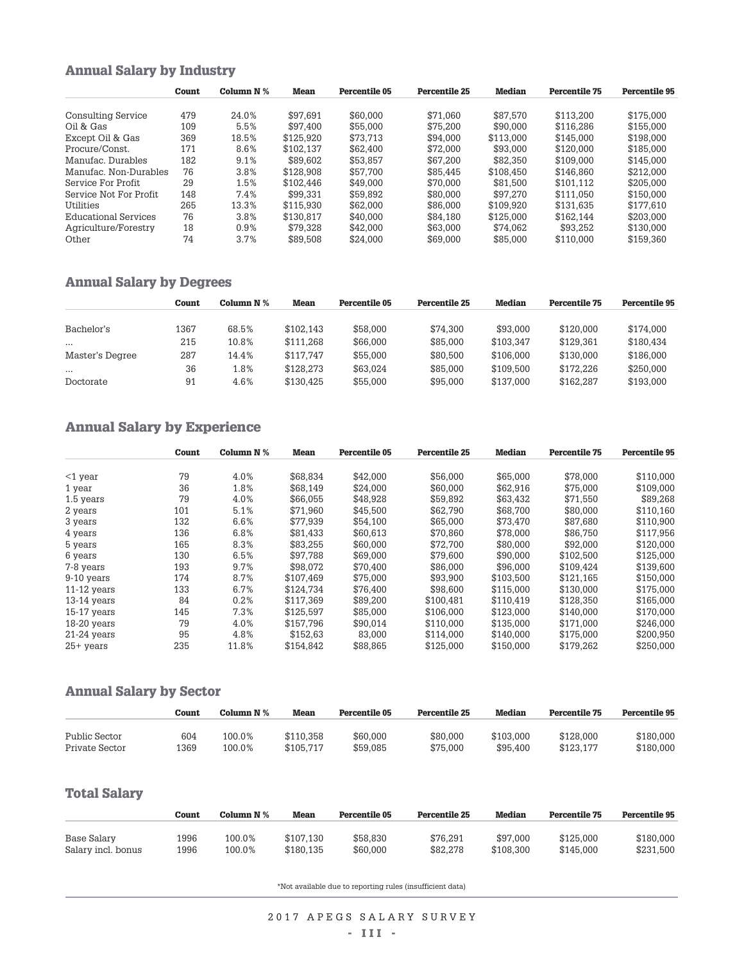### **Annual Salary by Industry**

|                        | Count | Column N % | Mean      | Percentile 05 | Percentile 25 | Median    | Percentile 75 | Percentile 95 |
|------------------------|-------|------------|-----------|---------------|---------------|-----------|---------------|---------------|
|                        |       |            |           |               |               |           |               |               |
| Consulting Service     | 479   | 24.0%      | \$97.691  | \$60,000      | \$71.060      | \$87.570  | \$113.200     | \$175.000     |
| Oil & Gas              | 109   | 5.5%       | \$97.400  | \$55,000      | \$75.200      | \$90,000  | \$116.286     | \$155,000     |
| Except Oil & Gas       | 369   | 18.5%      | \$125.920 | \$73.713      | \$94.000      | \$113,000 | \$145.000     | \$198,000     |
| Procure/Const          | 171   | 8.6%       | \$102.137 | \$62,400      | \$72,000      | \$93,000  | \$120,000     | \$185,000     |
| Manufac Durables       | 182   | 9.1%       | \$89.602  | \$53.857      | \$67,200      | \$82,350  | \$109.000     | \$145,000     |
| Manufac, Non-Durables  | 76    | 3.8%       | \$128,908 | \$57.700      | \$85.445      | \$108.450 | \$146.860     | \$212,000     |
| Service For Profit     | 29    | 1.5%       | \$102.446 | \$49,000      | \$70,000      | \$81.500  | \$101.112     | \$205,000     |
| Service Not For Profit | 148   | 7.4%       | \$99.331  | \$59.892      | \$80,000      | \$97.270  | \$111.050     | \$150,000     |
| Utilities              | 265   | 13.3%      | \$115.930 | \$62,000      | \$86,000      | \$109.920 | \$131.635     | \$177.610     |
| Educational Services   | 76    | 3.8%       | \$130.817 | \$40,000      | \$84.180      | \$125,000 | \$162.144     | \$203.000     |
| Agriculture/Forestry   | 18    | 0.9%       | \$79.328  | \$42,000      | \$63,000      | \$74.062  | \$93.252      | \$130,000     |
| Other                  | 74    | 3.7%       | \$89,508  | \$24,000      | \$69,000      | \$85,000  | \$110.000     | \$159.360     |

### **Annual Salary by Degrees**

|                 | Count | Column N % | <b>Mean</b> | Percentile 05 | Percentile 25 | <b>Median</b> | Percentile 75 | Percentile 95 |
|-----------------|-------|------------|-------------|---------------|---------------|---------------|---------------|---------------|
|                 |       |            |             |               |               |               |               |               |
| Bachelor's      | 1367  | 68.5%      | \$102.143   | \$58,000      | \$74.300      | \$93,000      | \$120,000     | \$174.000     |
| $\cdots$        | 215   | 10.8%      | \$111.268   | \$66,000      | \$85,000      | \$103.347     | \$129.361     | \$180.434     |
| Master's Degree | 287   | 14.4%      | \$117.747   | \$55,000      | \$80,500      | \$106.000     | \$130,000     | \$186,000     |
| $\cdots$        | 36    | 1.8%       | \$128.273   | \$63.024      | \$85,000      | \$109.500     | \$172.226     | \$250,000     |
| Doctorate       | 91    | 4.6%       | \$130.425   | \$55,000      | \$95,000      | \$137.000     | \$162.287     | \$193,000     |

#### **Annual Salary by Experience**

|               | Count | Column N % | Mean      | <b>Percentile 05</b> | <b>Percentile 25</b> | Median    | <b>Percentile 75</b> | <b>Percentile 95</b> |
|---------------|-------|------------|-----------|----------------------|----------------------|-----------|----------------------|----------------------|
|               |       |            |           |                      |                      |           |                      |                      |
| $<$ 1 year    | 79    | 4.0%       | \$68.834  | \$42,000             | \$56,000             | \$65,000  | \$78,000             | \$110,000            |
| 1 year        | 36    | 1.8%       | \$68.149  | \$24.000             | \$60,000             | \$62.916  | \$75,000             | \$109.000            |
| 1.5 years     | 79    | 4.0%       | \$66,055  | \$48.928             | \$59,892             | \$63,432  | \$71.550             | \$89,268             |
| 2 years       | 101   | 5.1%       | \$71.960  | \$45,500             | \$62.790             | \$68,700  | \$80,000             | \$110,160            |
| 3 years       | 132   | 6.6%       | \$77.939  | \$54.100             | \$65,000             | \$73,470  | \$87.680             | \$110,900            |
| 4 years       | 136   | 6.8%       | \$81.433  | \$60.613             | \$70.860             | \$78,000  | \$86.750             | \$117.956            |
| 5 years       | 165   | 8.3%       | \$83.255  | \$60,000             | \$72.700             | \$80,000  | \$92,000             | \$120,000            |
| 6 years       | 130   | 6.5%       | \$97.788  | \$69,000             | \$79,600             | \$90,000  | \$102.500            | \$125,000            |
| 7-8 years     | 193   | 9.7%       | \$98.072  | \$70.400             | \$86,000             | \$96,000  | \$109.424            | \$139.600            |
| 9-10 years    | 174   | 8.7%       | \$107.469 | \$75,000             | \$93.900             | \$103.500 | \$121.165            | \$150,000            |
| $11-12$ vears | 133   | 6.7%       | \$124.734 | \$76.400             | \$98,600             | \$115,000 | \$130,000            | \$175,000            |
| $13-14$ years | 84    | 0.2%       | \$117.369 | \$89.200             | \$100.481            | \$110.419 | \$128.350            | \$165,000            |
| $15-17$ years | 145   | 7.3%       | \$125.597 | \$85,000             | \$106.000            | \$123,000 | \$140.000            | \$170.000            |
| 18-20 years   | 79    | 4.0%       | \$157.796 | \$90.014             | \$110.000            | \$135,000 | \$171.000            | \$246.000            |
| $21-24$ years | 95    | 4.8%       | \$152.63  | 83.000               | \$114.000            | \$140.000 | \$175,000            | \$200.950            |
| $25+$ years   | 235   | 11.8%      | \$154,842 | \$88,865             | \$125,000            | \$150,000 | \$179,262            | \$250.000            |

### **Annual Salary by Sector**

|                | Count | Column N % | <b>Mean</b> | Percentile 05 | <b>Percentile 25</b> | <b>Median</b> | Percentile 75 | <b>Percentile 95</b> |
|----------------|-------|------------|-------------|---------------|----------------------|---------------|---------------|----------------------|
| Public Sector  | 604   | 100.0%     | \$110.358   | \$60.000      | \$80.000             | \$103.000     | \$128,000     | \$180.000            |
| Private Sector | 1369  | $100.0\%$  | \$105.717   | \$59.085      | \$75.000             | \$95.400      | \$123.177     | \$180,000            |

### **Total Salary**

|                    | Count | Column N % | Mean      | Percentile 05 | <b>Percentile 25</b> | <b>Median</b> | <b>Percentile 75</b> | <b>Percentile 95</b> |
|--------------------|-------|------------|-----------|---------------|----------------------|---------------|----------------------|----------------------|
| Base Salary        | 1996  | 100.0%     | \$107.130 | \$58.830      | \$76.291             | \$97.000      | \$125,000            | \$180,000            |
| Salary incl. bonus | 1996  | 100.0%     | \$180.135 | \$60,000      | \$82.278             | \$108.300     | \$145,000            | \$231.500            |

\*Not available due to reporting rules (insufficient data)